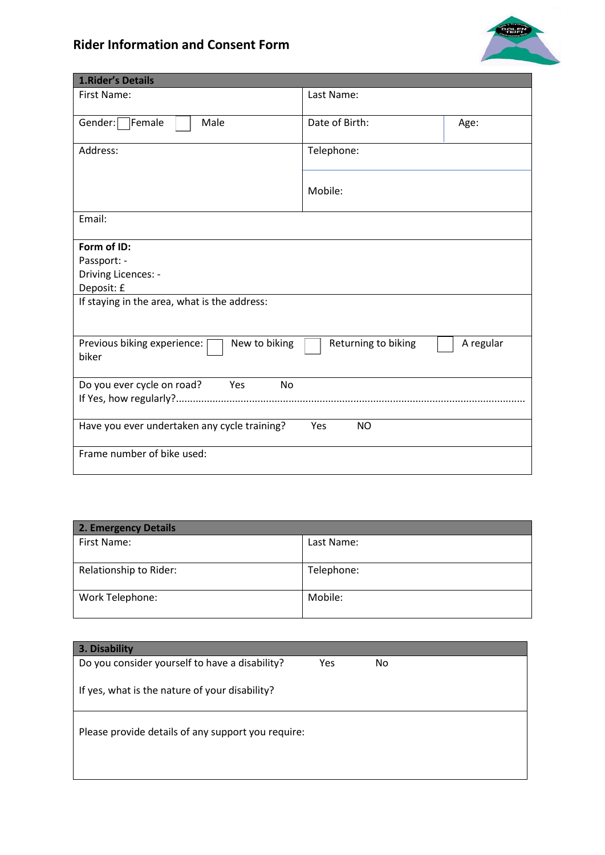## **Rider Information and Consent Form**



| <b>1.Rider's Details</b>                              |                     |           |
|-------------------------------------------------------|---------------------|-----------|
| First Name:                                           | Last Name:          |           |
| Gender:<br>Female<br>Male                             | Date of Birth:      | Age:      |
| Address:                                              | Telephone:          |           |
|                                                       | Mobile:             |           |
| Email:                                                |                     |           |
| Form of ID:                                           |                     |           |
| Passport: -                                           |                     |           |
| Driving Licences: -                                   |                     |           |
| Deposit: £                                            |                     |           |
| If staying in the area, what is the address:          |                     |           |
| Previous biking experience:<br>New to biking<br>biker | Returning to biking | A regular |
| Do you ever cycle on road?<br>Yes<br>No               |                     |           |
|                                                       |                     |           |
| Have you ever undertaken any cycle training?          | <b>NO</b><br>Yes    |           |
| Frame number of bike used:                            |                     |           |

| 2. Emergency Details   |            |  |
|------------------------|------------|--|
| First Name:            | Last Name: |  |
| Relationship to Rider: | Telephone: |  |
| Work Telephone:        | Mobile:    |  |

| 3. Disability                                      |     |     |
|----------------------------------------------------|-----|-----|
| Do you consider yourself to have a disability?     | Yes | No. |
| If yes, what is the nature of your disability?     |     |     |
| Please provide details of any support you require: |     |     |
|                                                    |     |     |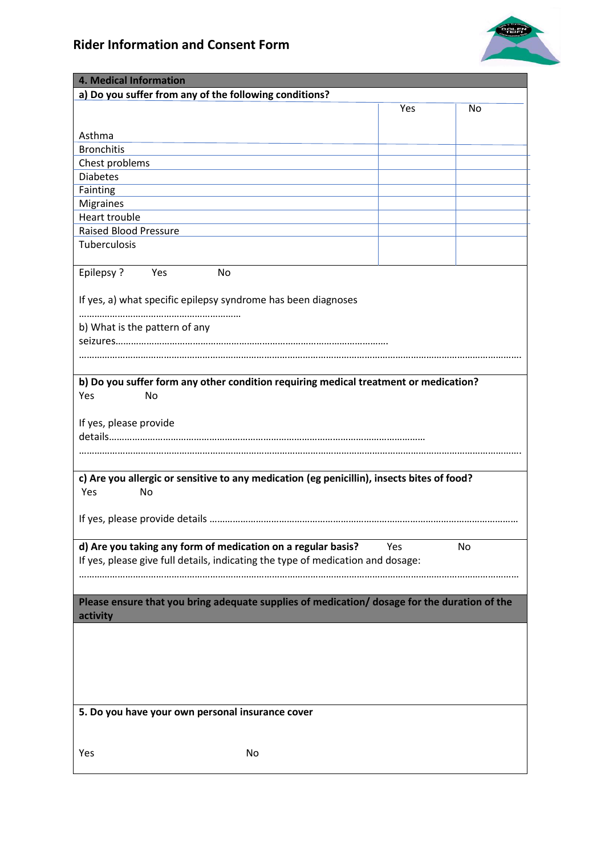

| 4. Medical Information                                                                            |     |    |
|---------------------------------------------------------------------------------------------------|-----|----|
| a) Do you suffer from any of the following conditions?                                            |     |    |
|                                                                                                   | Yes | No |
|                                                                                                   |     |    |
| Asthma                                                                                            |     |    |
| <b>Bronchitis</b>                                                                                 |     |    |
| Chest problems<br><b>Diabetes</b>                                                                 |     |    |
| Fainting                                                                                          |     |    |
| <b>Migraines</b>                                                                                  |     |    |
| Heart trouble                                                                                     |     |    |
| <b>Raised Blood Pressure</b>                                                                      |     |    |
| Tuberculosis                                                                                      |     |    |
|                                                                                                   |     |    |
| <b>Epilepsy?</b><br>Yes<br>No                                                                     |     |    |
|                                                                                                   |     |    |
| If yes, a) what specific epilepsy syndrome has been diagnoses                                     |     |    |
|                                                                                                   |     |    |
| b) What is the pattern of any                                                                     |     |    |
|                                                                                                   |     |    |
|                                                                                                   |     |    |
|                                                                                                   |     |    |
| b) Do you suffer form any other condition requiring medical treatment or medication?<br>Yes<br>No |     |    |
|                                                                                                   |     |    |
| If yes, please provide                                                                            |     |    |
|                                                                                                   |     |    |
|                                                                                                   |     |    |
|                                                                                                   |     |    |
| c) Are you allergic or sensitive to any medication (eg penicillin), insects bites of food?        |     |    |
| Yes<br>No                                                                                         |     |    |
|                                                                                                   |     |    |
|                                                                                                   |     |    |
|                                                                                                   |     |    |
| d) Are you taking any form of medication on a regular basis?                                      | Yes | No |
| If yes, please give full details, indicating the type of medication and dosage:                   |     |    |
|                                                                                                   |     |    |
| Please ensure that you bring adequate supplies of medication/ dosage for the duration of the      |     |    |
| activity                                                                                          |     |    |
|                                                                                                   |     |    |
|                                                                                                   |     |    |
|                                                                                                   |     |    |
|                                                                                                   |     |    |
|                                                                                                   |     |    |
|                                                                                                   |     |    |
| 5. Do you have your own personal insurance cover                                                  |     |    |
|                                                                                                   |     |    |
|                                                                                                   |     |    |
| Yes<br>No                                                                                         |     |    |
|                                                                                                   |     |    |